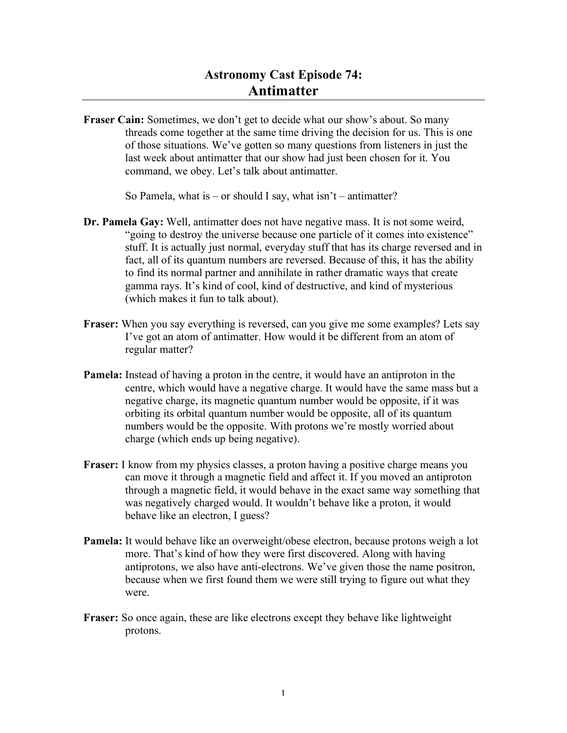## **Astronomy Cast Episode 74: Antimatter**

**Fraser Cain:** Sometimes, we don't get to decide what our show's about. So many threads come together at the same time driving the decision for us. This is one of those situations. We've gotten so many questions from listeners in just the last week about antimatter that our show had just been chosen for it. You command, we obey. Let's talk about antimatter.

So Pamela, what is – or should I say, what isn't – antimatter?

- **Dr. Pamela Gay:** Well, antimatter does not have negative mass. It is not some weird, "going to destroy the universe because one particle of it comes into existence" stuff. It is actually just normal, everyday stuff that has its charge reversed and in fact, all of its quantum numbers are reversed. Because of this, it has the ability to find its normal partner and annihilate in rather dramatic ways that create gamma rays. It's kind of cool, kind of destructive, and kind of mysterious (which makes it fun to talk about).
- **Fraser:** When you say everything is reversed, can you give me some examples? Lets say I've got an atom of antimatter. How would it be different from an atom of regular matter?
- **Pamela:** Instead of having a proton in the centre, it would have an antiproton in the centre, which would have a negative charge. It would have the same mass but a negative charge, its magnetic quantum number would be opposite, if it was orbiting its orbital quantum number would be opposite, all of its quantum numbers would be the opposite. With protons we're mostly worried about charge (which ends up being negative).
- **Fraser:** I know from my physics classes, a proton having a positive charge means you can move it through a magnetic field and affect it. If you moved an antiproton through a magnetic field, it would behave in the exact same way something that was negatively charged would. It wouldn't behave like a proton, it would behave like an electron, I guess?
- **Pamela:** It would behave like an overweight/obese electron, because protons weigh a lot more. That's kind of how they were first discovered. Along with having antiprotons, we also have anti-electrons. We've given those the name positron, because when we first found them we were still trying to figure out what they were.
- **Fraser:** So once again, these are like electrons except they behave like lightweight protons.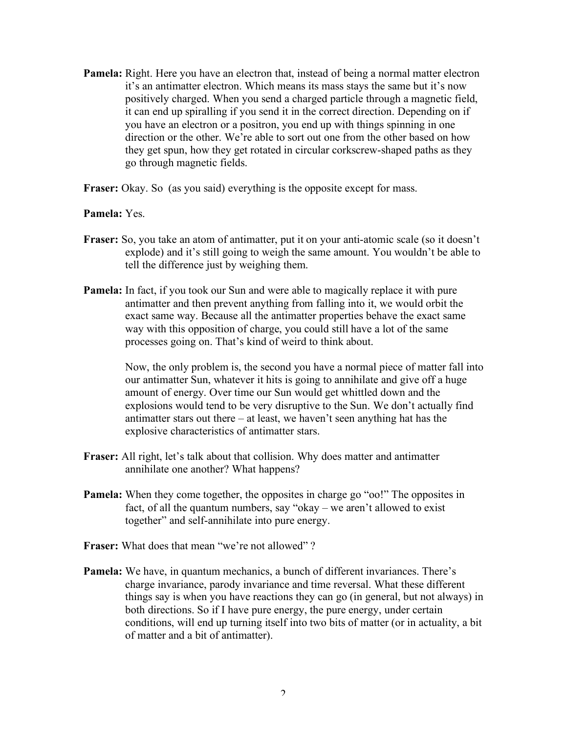- **Pamela:** Right. Here you have an electron that, instead of being a normal matter electron it's an antimatter electron. Which means its mass stays the same but it's now positively charged. When you send a charged particle through a magnetic field, it can end up spiralling if you send it in the correct direction. Depending on if you have an electron or a positron, you end up with things spinning in one direction or the other. We're able to sort out one from the other based on how they get spun, how they get rotated in circular corkscrew-shaped paths as they go through magnetic fields.
- **Fraser:** Okay. So (as you said) everything is the opposite except for mass.

## **Pamela:** Yes.

- **Fraser:** So, you take an atom of antimatter, put it on your anti-atomic scale (so it doesn't explode) and it's still going to weigh the same amount. You wouldn't be able to tell the difference just by weighing them.
- **Pamela:** In fact, if you took our Sun and were able to magically replace it with pure antimatter and then prevent anything from falling into it, we would orbit the exact same way. Because all the antimatter properties behave the exact same way with this opposition of charge, you could still have a lot of the same processes going on. That's kind of weird to think about.

Now, the only problem is, the second you have a normal piece of matter fall into our antimatter Sun, whatever it hits is going to annihilate and give off a huge amount of energy. Over time our Sun would get whittled down and the explosions would tend to be very disruptive to the Sun. We don't actually find antimatter stars out there – at least, we haven't seen anything hat has the explosive characteristics of antimatter stars.

- **Fraser:** All right, let's talk about that collision. Why does matter and antimatter annihilate one another? What happens?
- **Pamela:** When they come together, the opposites in charge go "oo!" The opposites in fact, of all the quantum numbers, say "okay – we aren't allowed to exist together" and self-annihilate into pure energy.
- **Fraser:** What does that mean "we're not allowed"?
- **Pamela:** We have, in quantum mechanics, a bunch of different invariances. There's charge invariance, parody invariance and time reversal. What these different things say is when you have reactions they can go (in general, but not always) in both directions. So if I have pure energy, the pure energy, under certain conditions, will end up turning itself into two bits of matter (or in actuality, a bit of matter and a bit of antimatter).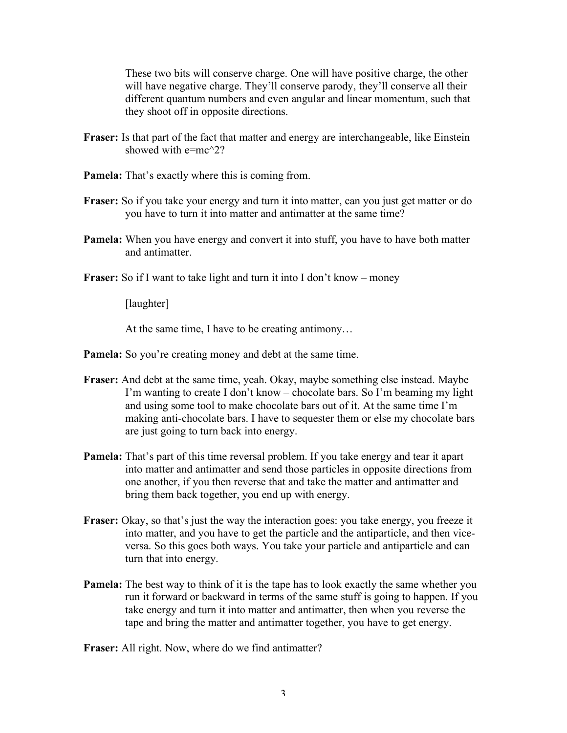These two bits will conserve charge. One will have positive charge, the other will have negative charge. They'll conserve parody, they'll conserve all their different quantum numbers and even angular and linear momentum, such that they shoot off in opposite directions.

- **Fraser:** Is that part of the fact that matter and energy are interchangeable, like Einstein showed with  $e=mc^{2}$ ?
- **Pamela:** That's exactly where this is coming from.
- **Fraser:** So if you take your energy and turn it into matter, can you just get matter or do you have to turn it into matter and antimatter at the same time?
- **Pamela:** When you have energy and convert it into stuff, you have to have both matter and antimatter.
- **Fraser:** So if I want to take light and turn it into I don't know money

[laughter]

At the same time, I have to be creating antimony…

- **Pamela:** So you're creating money and debt at the same time.
- **Fraser:** And debt at the same time, yeah. Okay, maybe something else instead. Maybe I'm wanting to create I don't know – chocolate bars. So I'm beaming my light and using some tool to make chocolate bars out of it. At the same time I'm making anti-chocolate bars. I have to sequester them or else my chocolate bars are just going to turn back into energy.
- **Pamela:** That's part of this time reversal problem. If you take energy and tear it apart into matter and antimatter and send those particles in opposite directions from one another, if you then reverse that and take the matter and antimatter and bring them back together, you end up with energy.
- **Fraser:** Okay, so that's just the way the interaction goes: you take energy, you freeze it into matter, and you have to get the particle and the antiparticle, and then viceversa. So this goes both ways. You take your particle and antiparticle and can turn that into energy.
- **Pamela:** The best way to think of it is the tape has to look exactly the same whether you run it forward or backward in terms of the same stuff is going to happen. If you take energy and turn it into matter and antimatter, then when you reverse the tape and bring the matter and antimatter together, you have to get energy.

**Fraser:** All right. Now, where do we find antimatter?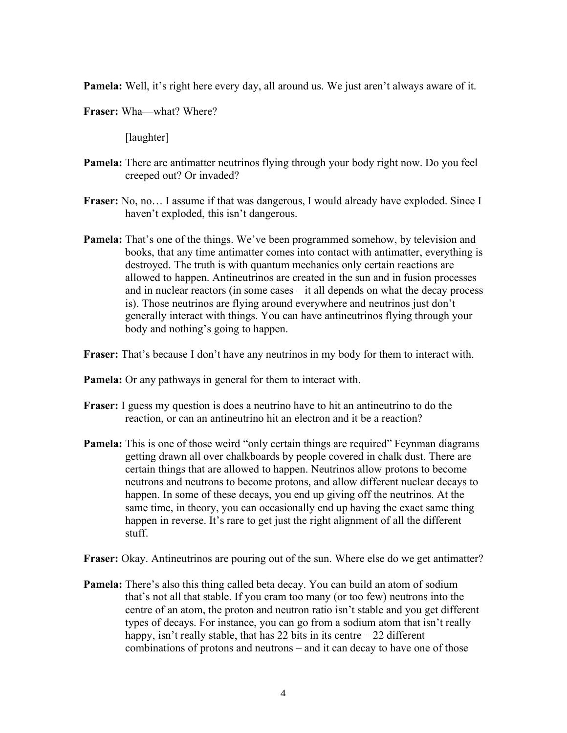**Pamela:** Well, it's right here every day, all around us. We just aren't always aware of it.

**Fraser:** Wha—what? Where?

[laughter]

- **Pamela:** There are antimatter neutrinos flying through your body right now. Do you feel creeped out? Or invaded?
- **Fraser:** No, no… I assume if that was dangerous, I would already have exploded. Since I haven't exploded, this isn't dangerous.
- **Pamela:** That's one of the things. We've been programmed somehow, by television and books, that any time antimatter comes into contact with antimatter, everything is destroyed. The truth is with quantum mechanics only certain reactions are allowed to happen. Antineutrinos are created in the sun and in fusion processes and in nuclear reactors (in some cases – it all depends on what the decay process is). Those neutrinos are flying around everywhere and neutrinos just don't generally interact with things. You can have antineutrinos flying through your body and nothing's going to happen.
- **Fraser:** That's because I don't have any neutrinos in my body for them to interact with.

**Pamela:** Or any pathways in general for them to interact with.

- **Fraser:** I guess my question is does a neutrino have to hit an antineutrino to do the reaction, or can an antineutrino hit an electron and it be a reaction?
- **Pamela:** This is one of those weird "only certain things are required" Feynman diagrams getting drawn all over chalkboards by people covered in chalk dust. There are certain things that are allowed to happen. Neutrinos allow protons to become neutrons and neutrons to become protons, and allow different nuclear decays to happen. In some of these decays, you end up giving off the neutrinos. At the same time, in theory, you can occasionally end up having the exact same thing happen in reverse. It's rare to get just the right alignment of all the different stuff.
- **Fraser:** Okay. Antineutrinos are pouring out of the sun. Where else do we get antimatter?
- **Pamela:** There's also this thing called beta decay. You can build an atom of sodium that's not all that stable. If you cram too many (or too few) neutrons into the centre of an atom, the proton and neutron ratio isn't stable and you get different types of decays. For instance, you can go from a sodium atom that isn't really happy, isn't really stable, that has 22 bits in its centre  $-22$  different combinations of protons and neutrons – and it can decay to have one of those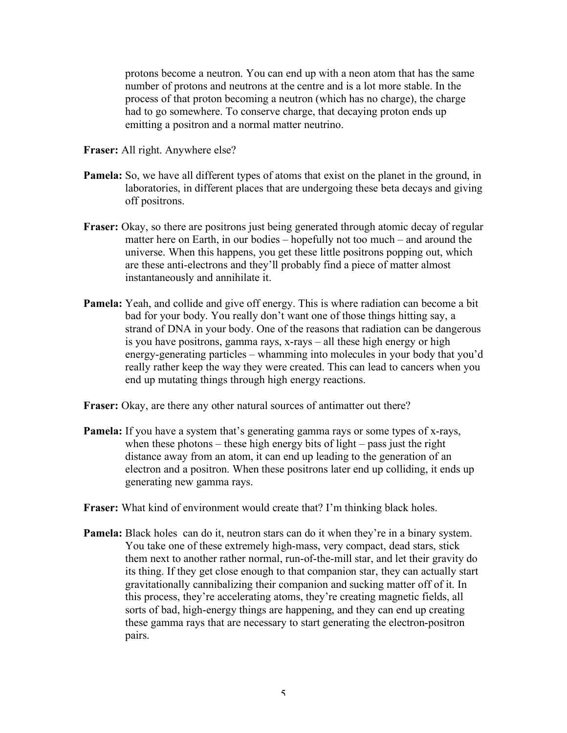protons become a neutron. You can end up with a neon atom that has the same number of protons and neutrons at the centre and is a lot more stable. In the process of that proton becoming a neutron (which has no charge), the charge had to go somewhere. To conserve charge, that decaying proton ends up emitting a positron and a normal matter neutrino.

- **Fraser:** All right. Anywhere else?
- **Pamela:** So, we have all different types of atoms that exist on the planet in the ground, in laboratories, in different places that are undergoing these beta decays and giving off positrons.
- **Fraser:** Okay, so there are positrons just being generated through atomic decay of regular matter here on Earth, in our bodies – hopefully not too much – and around the universe. When this happens, you get these little positrons popping out, which are these anti-electrons and they'll probably find a piece of matter almost instantaneously and annihilate it.
- **Pamela:** Yeah, and collide and give off energy. This is where radiation can become a bit bad for your body. You really don't want one of those things hitting say, a strand of DNA in your body. One of the reasons that radiation can be dangerous is you have positrons, gamma rays, x-rays – all these high energy or high energy-generating particles – whamming into molecules in your body that you'd really rather keep the way they were created. This can lead to cancers when you end up mutating things through high energy reactions.
- **Fraser:** Okay, are there any other natural sources of antimatter out there?
- **Pamela:** If you have a system that's generating gamma rays or some types of x-rays, when these photons – these high energy bits of light – pass just the right distance away from an atom, it can end up leading to the generation of an electron and a positron. When these positrons later end up colliding, it ends up generating new gamma rays.
- **Fraser:** What kind of environment would create that? I'm thinking black holes.
- **Pamela:** Black holes can do it, neutron stars can do it when they're in a binary system. You take one of these extremely high-mass, very compact, dead stars, stick them next to another rather normal, run-of-the-mill star, and let their gravity do its thing. If they get close enough to that companion star, they can actually start gravitationally cannibalizing their companion and sucking matter off of it. In this process, they're accelerating atoms, they're creating magnetic fields, all sorts of bad, high-energy things are happening, and they can end up creating these gamma rays that are necessary to start generating the electron-positron pairs.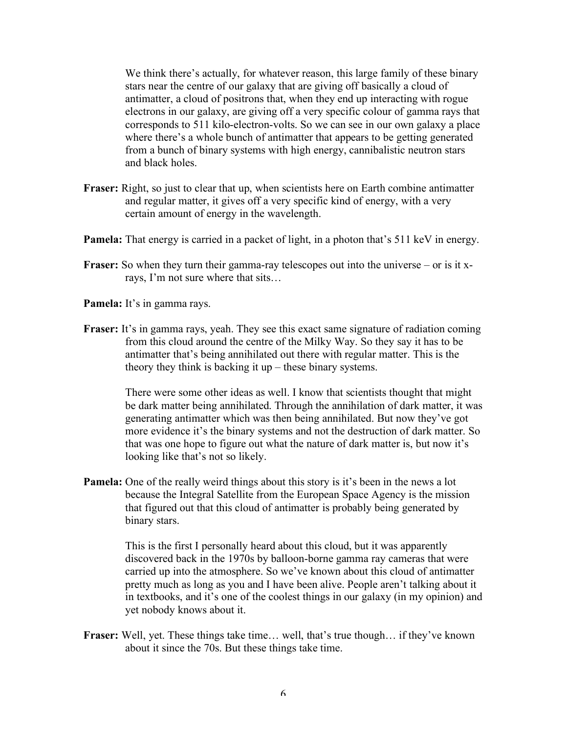We think there's actually, for whatever reason, this large family of these binary stars near the centre of our galaxy that are giving off basically a cloud of antimatter, a cloud of positrons that, when they end up interacting with rogue electrons in our galaxy, are giving off a very specific colour of gamma rays that corresponds to 511 kilo-electron-volts. So we can see in our own galaxy a place where there's a whole bunch of antimatter that appears to be getting generated from a bunch of binary systems with high energy, cannibalistic neutron stars and black holes.

- **Fraser:** Right, so just to clear that up, when scientists here on Earth combine antimatter and regular matter, it gives off a very specific kind of energy, with a very certain amount of energy in the wavelength.
- **Pamela:** That energy is carried in a packet of light, in a photon that's 511 keV in energy.
- **Fraser:** So when they turn their gamma-ray telescopes out into the universe or is it xrays, I'm not sure where that sits…
- **Pamela:** It's in gamma rays.
- **Fraser:** It's in gamma rays, yeah. They see this exact same signature of radiation coming from this cloud around the centre of the Milky Way. So they say it has to be antimatter that's being annihilated out there with regular matter. This is the theory they think is backing it up – these binary systems.

There were some other ideas as well. I know that scientists thought that might be dark matter being annihilated. Through the annihilation of dark matter, it was generating antimatter which was then being annihilated. But now they've got more evidence it's the binary systems and not the destruction of dark matter. So that was one hope to figure out what the nature of dark matter is, but now it's looking like that's not so likely.

**Pamela:** One of the really weird things about this story is it's been in the news a lot because the Integral Satellite from the European Space Agency is the mission that figured out that this cloud of antimatter is probably being generated by binary stars.

> This is the first I personally heard about this cloud, but it was apparently discovered back in the 1970s by balloon-borne gamma ray cameras that were carried up into the atmosphere. So we've known about this cloud of antimatter pretty much as long as you and I have been alive. People aren't talking about it in textbooks, and it's one of the coolest things in our galaxy (in my opinion) and yet nobody knows about it.

**Fraser:** Well, yet. These things take time… well, that's true though… if they've known about it since the 70s. But these things take time.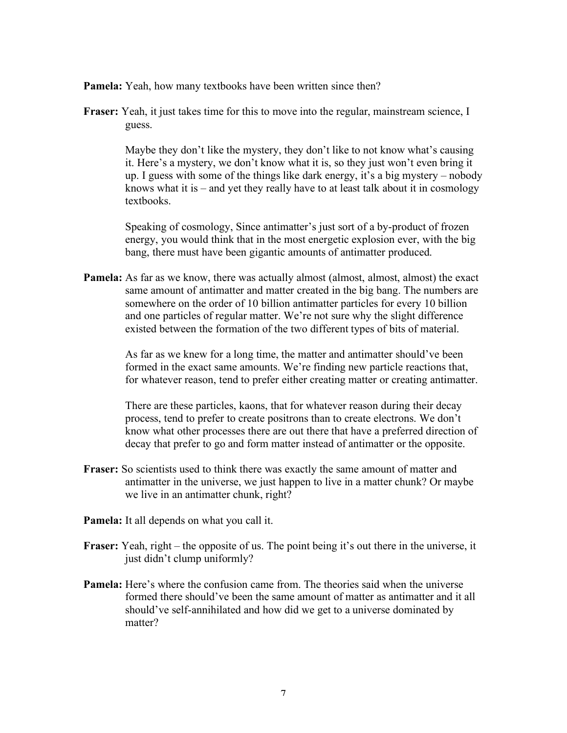**Pamela:** Yeah, how many textbooks have been written since then?

**Fraser:** Yeah, it just takes time for this to move into the regular, mainstream science, I guess.

> Maybe they don't like the mystery, they don't like to not know what's causing it. Here's a mystery, we don't know what it is, so they just won't even bring it up. I guess with some of the things like dark energy, it's a big mystery – nobody knows what it is – and yet they really have to at least talk about it in cosmology textbooks.

Speaking of cosmology, Since antimatter's just sort of a by-product of frozen energy, you would think that in the most energetic explosion ever, with the big bang, there must have been gigantic amounts of antimatter produced.

**Pamela:** As far as we know, there was actually almost (almost, almost, almost) the exact same amount of antimatter and matter created in the big bang. The numbers are somewhere on the order of 10 billion antimatter particles for every 10 billion and one particles of regular matter. We're not sure why the slight difference existed between the formation of the two different types of bits of material.

> As far as we knew for a long time, the matter and antimatter should've been formed in the exact same amounts. We're finding new particle reactions that, for whatever reason, tend to prefer either creating matter or creating antimatter.

> There are these particles, kaons, that for whatever reason during their decay process, tend to prefer to create positrons than to create electrons. We don't know what other processes there are out there that have a preferred direction of decay that prefer to go and form matter instead of antimatter or the opposite.

- **Fraser:** So scientists used to think there was exactly the same amount of matter and antimatter in the universe, we just happen to live in a matter chunk? Or maybe we live in an antimatter chunk, right?
- **Pamela:** It all depends on what you call it.
- **Fraser:** Yeah, right the opposite of us. The point being it's out there in the universe, it just didn't clump uniformly?
- **Pamela:** Here's where the confusion came from. The theories said when the universe formed there should've been the same amount of matter as antimatter and it all should've self-annihilated and how did we get to a universe dominated by matter?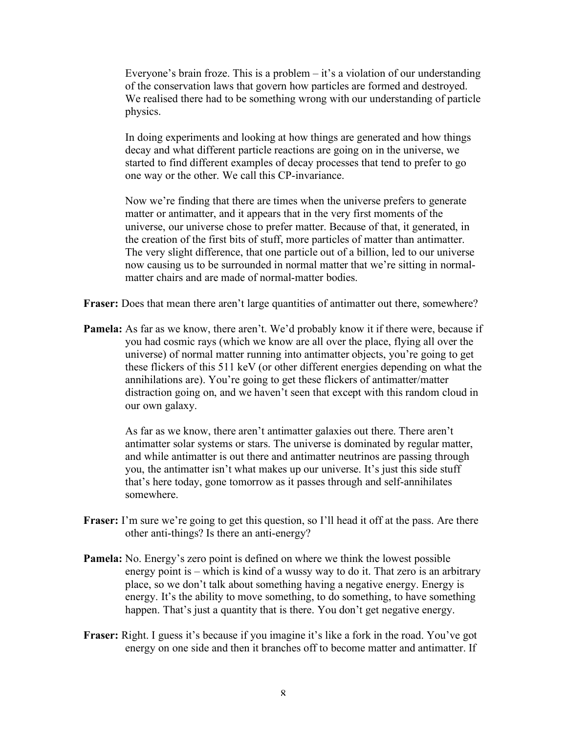Everyone's brain froze. This is a problem – it's a violation of our understanding of the conservation laws that govern how particles are formed and destroyed. We realised there had to be something wrong with our understanding of particle physics.

In doing experiments and looking at how things are generated and how things decay and what different particle reactions are going on in the universe, we started to find different examples of decay processes that tend to prefer to go one way or the other. We call this CP-invariance.

Now we're finding that there are times when the universe prefers to generate matter or antimatter, and it appears that in the very first moments of the universe, our universe chose to prefer matter. Because of that, it generated, in the creation of the first bits of stuff, more particles of matter than antimatter. The very slight difference, that one particle out of a billion, led to our universe now causing us to be surrounded in normal matter that we're sitting in normalmatter chairs and are made of normal-matter bodies.

**Fraser:** Does that mean there aren't large quantities of antimatter out there, somewhere?

**Pamela:** As far as we know, there aren't. We'd probably know it if there were, because if you had cosmic rays (which we know are all over the place, flying all over the universe) of normal matter running into antimatter objects, you're going to get these flickers of this 511 keV (or other different energies depending on what the annihilations are). You're going to get these flickers of antimatter/matter distraction going on, and we haven't seen that except with this random cloud in our own galaxy.

> As far as we know, there aren't antimatter galaxies out there. There aren't antimatter solar systems or stars. The universe is dominated by regular matter, and while antimatter is out there and antimatter neutrinos are passing through you, the antimatter isn't what makes up our universe. It's just this side stuff that's here today, gone tomorrow as it passes through and self-annihilates somewhere.

- **Fraser:** I'm sure we're going to get this question, so I'll head it off at the pass. Are there other anti-things? Is there an anti-energy?
- **Pamela:** No. Energy's zero point is defined on where we think the lowest possible energy point is – which is kind of a wussy way to do it. That zero is an arbitrary place, so we don't talk about something having a negative energy. Energy is energy. It's the ability to move something, to do something, to have something happen. That's just a quantity that is there. You don't get negative energy.
- **Fraser:** Right. I guess it's because if you imagine it's like a fork in the road. You've got energy on one side and then it branches off to become matter and antimatter. If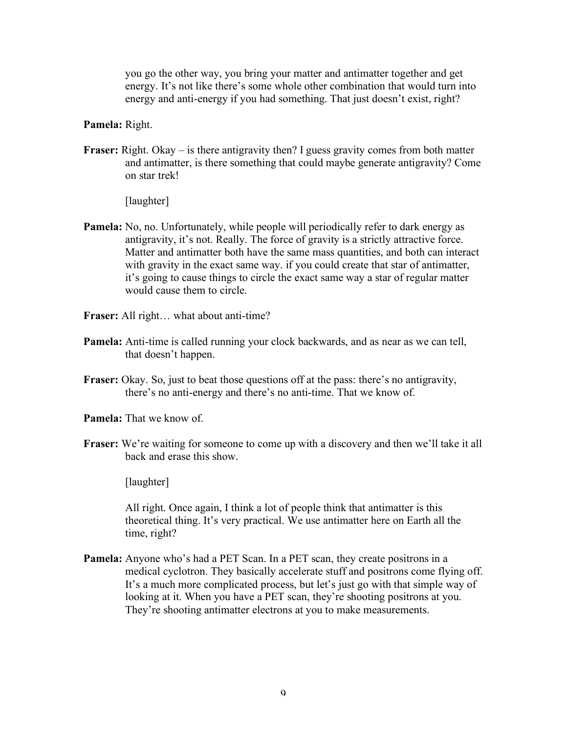you go the other way, you bring your matter and antimatter together and get energy. It's not like there's some whole other combination that would turn into energy and anti-energy if you had something. That just doesn't exist, right?

## **Pamela:** Right.

**Fraser:** Right. Okay – is there antigravity then? I guess gravity comes from both matter and antimatter, is there something that could maybe generate antigravity? Come on star trek!

[laughter]

- **Pamela:** No, no. Unfortunately, while people will periodically refer to dark energy as antigravity, it's not. Really. The force of gravity is a strictly attractive force. Matter and antimatter both have the same mass quantities, and both can interact with gravity in the exact same way. if you could create that star of antimatter, it's going to cause things to circle the exact same way a star of regular matter would cause them to circle.
- **Fraser:** All right… what about anti-time?
- **Pamela:** Anti-time is called running your clock backwards, and as near as we can tell, that doesn't happen.
- **Fraser:** Okay. So, just to beat those questions off at the pass: there's no antigravity, there's no anti-energy and there's no anti-time. That we know of.
- **Pamela:** That we know of.
- **Fraser:** We're waiting for someone to come up with a discovery and then we'll take it all back and erase this show.

[laughter]

All right. Once again, I think a lot of people think that antimatter is this theoretical thing. It's very practical. We use antimatter here on Earth all the time, right?

**Pamela:** Anyone who's had a PET Scan. In a PET scan, they create positrons in a medical cyclotron. They basically accelerate stuff and positrons come flying off. It's a much more complicated process, but let's just go with that simple way of looking at it. When you have a PET scan, they're shooting positrons at you. They're shooting antimatter electrons at you to make measurements.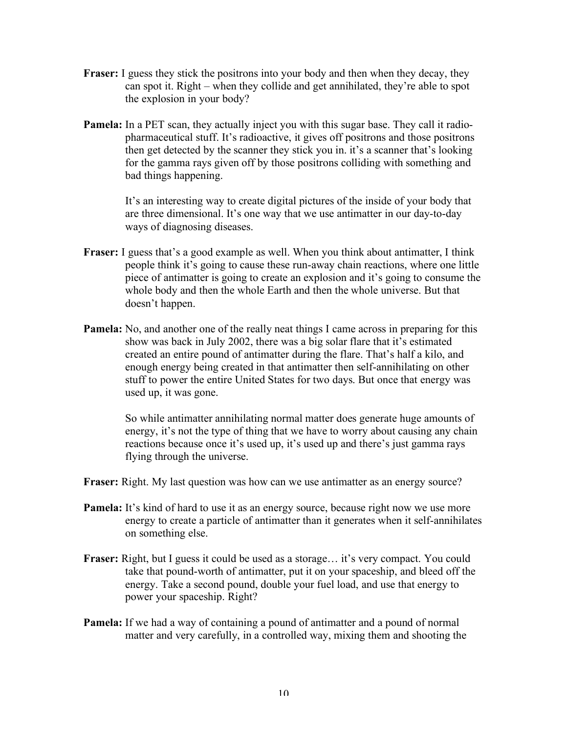- **Fraser:** I guess they stick the positrons into your body and then when they decay, they can spot it. Right – when they collide and get annihilated, they're able to spot the explosion in your body?
- **Pamela:** In a PET scan, they actually inject you with this sugar base. They call it radiopharmaceutical stuff. It's radioactive, it gives off positrons and those positrons then get detected by the scanner they stick you in. it's a scanner that's looking for the gamma rays given off by those positrons colliding with something and bad things happening.

It's an interesting way to create digital pictures of the inside of your body that are three dimensional. It's one way that we use antimatter in our day-to-day ways of diagnosing diseases.

- **Fraser:** I guess that's a good example as well. When you think about antimatter, I think people think it's going to cause these run-away chain reactions, where one little piece of antimatter is going to create an explosion and it's going to consume the whole body and then the whole Earth and then the whole universe. But that doesn't happen.
- **Pamela:** No, and another one of the really neat things I came across in preparing for this show was back in July 2002, there was a big solar flare that it's estimated created an entire pound of antimatter during the flare. That's half a kilo, and enough energy being created in that antimatter then self-annihilating on other stuff to power the entire United States for two days. But once that energy was used up, it was gone.

So while antimatter annihilating normal matter does generate huge amounts of energy, it's not the type of thing that we have to worry about causing any chain reactions because once it's used up, it's used up and there's just gamma rays flying through the universe.

**Fraser:** Right. My last question was how can we use antimatter as an energy source?

- **Pamela:** It's kind of hard to use it as an energy source, because right now we use more energy to create a particle of antimatter than it generates when it self-annihilates on something else.
- **Fraser:** Right, but I guess it could be used as a storage... it's very compact. You could take that pound-worth of antimatter, put it on your spaceship, and bleed off the energy. Take a second pound, double your fuel load, and use that energy to power your spaceship. Right?
- **Pamela:** If we had a way of containing a pound of antimatter and a pound of normal matter and very carefully, in a controlled way, mixing them and shooting the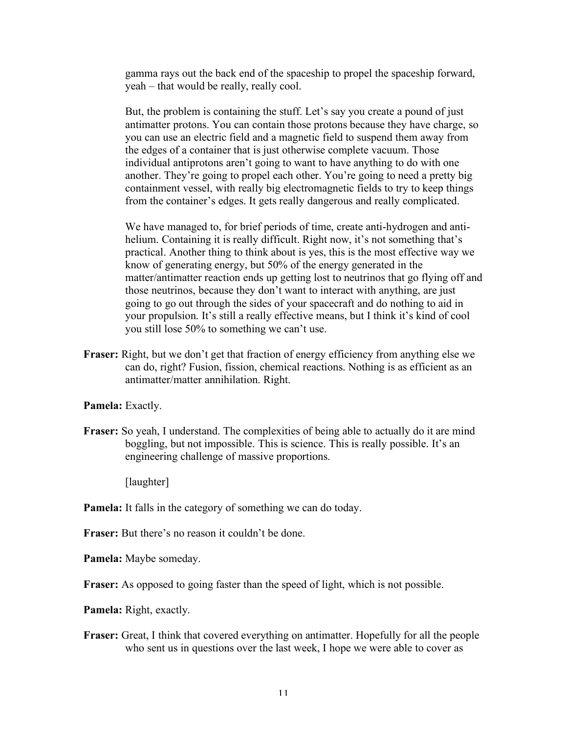gamma rays out the back end of the spaceship to propel the spaceship forward, yeah – that would be really, really cool.

But, the problem is containing the stuff. Let's say you create a pound of just antimatter protons. You can contain those protons because they have charge, so you can use an electric field and a magnetic field to suspend them away from the edges of a container that is just otherwise complete vacuum. Those individual antiprotons aren't going to want to have anything to do with one another. They're going to propel each other. You're going to need a pretty big containment vessel, with really big electromagnetic fields to try to keep things from the container's edges. It gets really dangerous and really complicated.

We have managed to, for brief periods of time, create anti-hydrogen and antihelium. Containing it is really difficult. Right now, it's not something that's practical. Another thing to think about is yes, this is the most effective way we know of generating energy, but 50% of the energy generated in the matter/antimatter reaction ends up getting lost to neutrinos that go flying off and those neutrinos, because they don't want to interact with anything, are just going to go out through the sides of your spacecraft and do nothing to aid in your propulsion. It's still a really effective means, but I think it's kind of cool you still lose 50% to something we can't use.

**Fraser:** Right, but we don't get that fraction of energy efficiency from anything else we can do, right? Fusion, fission, chemical reactions. Nothing is as efficient as an antimatter/matter annihilation. Right.

**Pamela:** Exactly.

**Fraser:** So yeah, I understand. The complexities of being able to actually do it are mind boggling, but not impossible. This is science. This is really possible. It's an engineering challenge of massive proportions.

[laughter]

- **Pamela:** It falls in the category of something we can do today.
- **Fraser:** But there's no reason it couldn't be done.

**Pamela:** Maybe someday.

**Fraser:** As opposed to going faster than the speed of light, which is not possible.

**Pamela:** Right, exactly.

**Fraser:** Great, I think that covered everything on antimatter. Hopefully for all the people who sent us in questions over the last week, I hope we were able to cover as